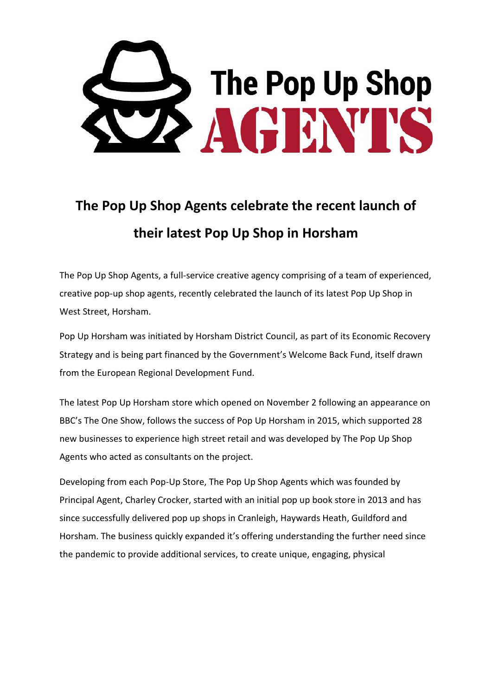

## **The Pop Up Shop Agents celebrate the recent launch of their latest Pop Up Shop in Horsham**

The Pop Up Shop Agents, a full-service creative agency comprising of a team of experienced, creative pop-up shop agents, recently celebrated the launch of its latest Pop Up Shop in West Street, Horsham.

Pop Up Horsham was initiated by Horsham District Council, as part of its Economic Recovery Strategy and is being part financed by the Government's Welcome Back Fund, itself drawn from the European Regional Development Fund.

The latest Pop Up Horsham store which opened on November 2 following an appearance on BBC's The One Show, follows the success of Pop Up Horsham in 2015, which supported 28 new businesses to experience high street retail and was developed by The Pop Up Shop Agents who acted as consultants on the project.

Developing from each Pop-Up Store, The Pop Up Shop Agents which was founded by Principal Agent, Charley Crocker, started with an initial pop up book store in 2013 and has since successfully delivered pop up shops in Cranleigh, Haywards Heath, Guildford and Horsham. The business quickly expanded it's offering understanding the further need since the pandemic to provide additional services, to create unique, engaging, physical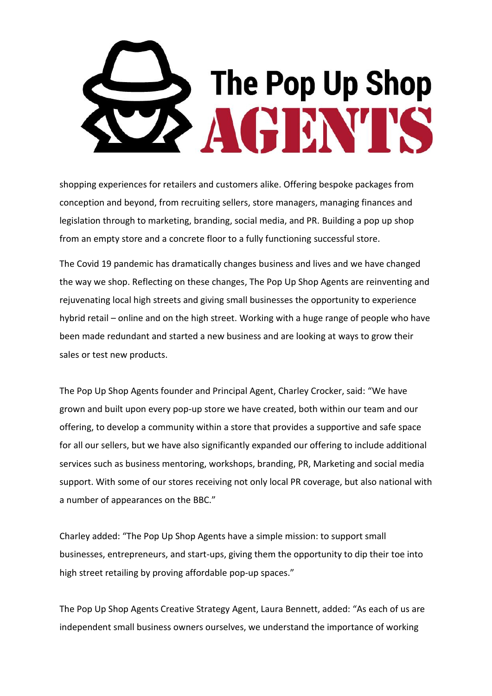

shopping experiences for retailers and customers alike. Offering bespoke packages from conception and beyond, from recruiting sellers, store managers, managing finances and legislation through to marketing, branding, social media, and PR. Building a pop up shop from an empty store and a concrete floor to a fully functioning successful store.

The Covid 19 pandemic has dramatically changes business and lives and we have changed the way we shop. Reflecting on these changes, The Pop Up Shop Agents are reinventing and rejuvenating local high streets and giving small businesses the opportunity to experience hybrid retail – online and on the high street. Working with a huge range of people who have been made redundant and started a new business and are looking at ways to grow their sales or test new products.

The Pop Up Shop Agents founder and Principal Agent, Charley Crocker, said: "We have grown and built upon every pop-up store we have created, both within our team and our offering, to develop a community within a store that provides a supportive and safe space for all our sellers, but we have also significantly expanded our offering to include additional services such as business mentoring, workshops, branding, PR, Marketing and social media support. With some of our stores receiving not only local PR coverage, but also national with a number of appearances on the BBC."

Charley added: "The Pop Up Shop Agents have a simple mission: to support small businesses, entrepreneurs, and start-ups, giving them the opportunity to dip their toe into high street retailing by proving affordable pop-up spaces."

The Pop Up Shop Agents Creative Strategy Agent, Laura Bennett, added: "As each of us are independent small business owners ourselves, we understand the importance of working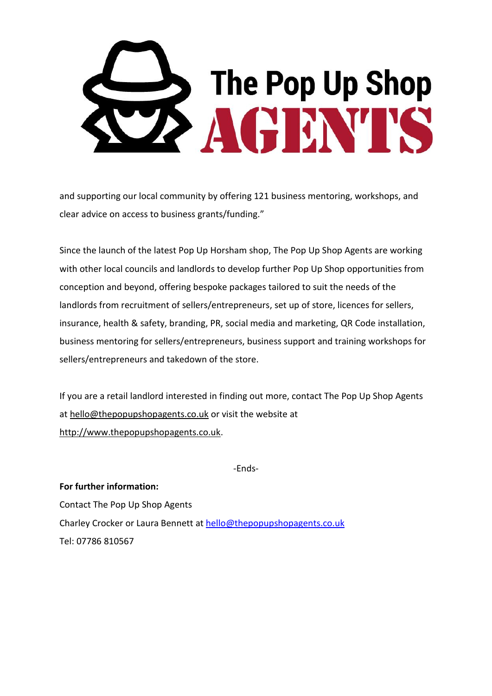

and supporting our local community by offering 121 business mentoring, workshops, and clear advice on access to business grants/funding."

Since the launch of the latest Pop Up Horsham shop, The Pop Up Shop Agents are working with other local councils and landlords to develop further Pop Up Shop opportunities from conception and beyond, offering bespoke packages tailored to suit the needs of the landlords from recruitment of sellers/entrepreneurs, set up of store, licences for sellers, insurance, health & safety, branding, PR, social media and marketing, QR Code installation, business mentoring for sellers/entrepreneurs, business support and training workshops for sellers/entrepreneurs and takedown of the store.

If you are a retail landlord interested in finding out more, contact The Pop Up Shop Agents at [hello@thepopupshopagents.co.uk](mailto:hello@thepopupshopagents.co.uk) or visit the website at [http://www.thepopupshopagents.co.uk.](http://www.thepopupshopagents.co.uk/)

-Ends-

**For further information:** Contact The Pop Up Shop Agents Charley Crocker or Laura Bennett at [hello@thepopupshopagents.co.uk](mailto:hello@thepopupshopagents.co.uk) Tel: 07786 810567